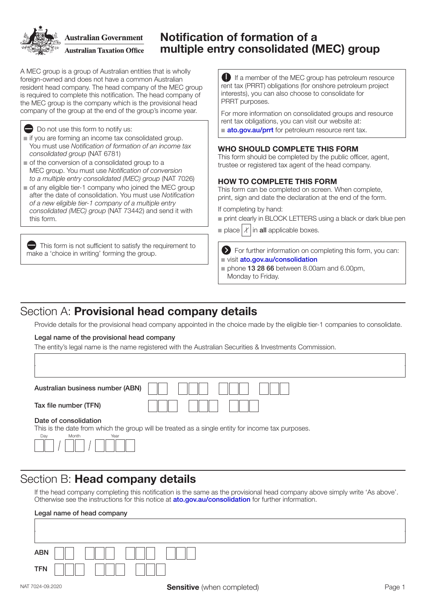

ustralian Government **Australian Taxation Office** 

# Notification of formation of a multiple entry consolidated (MEC) group

A MEC group is a group of Australian entities that is wholly foreign-owned and does not have a common Australian resident head company. The head company of the MEC group is required to complete this notification. The head company of the MEC group is the company which is the provisional head company of the group at the end of the group's income year.

Do not use this form to notify us:

- $\blacksquare$  if you are forming an income tax consolidated group. You must use *Notification of formation of an income tax consolidated group* (NAT 6781)
- $\blacksquare$  of the conversion of a consolidated group to a MEC group. You must use *Notification of conversion to a multiple entry consolidated (MEC) group* (NAT 7026)
- $\blacksquare$  of any eligible tier-1 company who joined the MEC group after the date of consolidation. You must use *Notification*  of a new eligible tier-1 company of a multiple entry *consolidated (MEC) group* (NAT 73442) and send it with this form.

This form is not sufficient to satisfy the requirement to make a 'choice in writing' forming the group.

If a member of the MEC group has petroleum resource rent tax (PRRT) obligations (for onshore petroleum project interests), you can also choose to consolidate for PRRT purposes.

For more information on consolidated groups and resource rent tax obligations, you can visit our website at:

**[ato.gov.au/prrt](http://www.ato.gov.au/prrt)** for petroleum resource rent tax.

### WHO SHOULD COMPLETE THIS FORM

This form should be completed by the public officer, agent, trustee or registered tax agent of the head company.

### HOW TO COMPLETE THIS FORM

This form can be completed on screen. When complete, print, sign and date the declaration at the end of the form.

If completing by hand:

print clearly in BLOCK LETTERS using a black or dark blue pen

place  $X$  in all applicable boxes.

For further information on completing this form, you can: visit [ato.gov.au/consolidation](http://www.ato.gov.au/consolidation)

 $p$  phone 13 28 66 between 8.00am and 6.00pm, Monday to Friday.

# Section A: Provisional head company details

Provide details for the provisional head company appointed in the choice made by the eligible tier-1 companies to consolidate.

### Legal name of the provisional head company

The entity's legal name is the name registered with the Australian Securities & Investments Commission.

| Australian business number (ABN)                                                                                                                   |  |  |  |  |  |
|----------------------------------------------------------------------------------------------------------------------------------------------------|--|--|--|--|--|
| Tax file number (TFN)                                                                                                                              |  |  |  |  |  |
| Date of consolidation<br>This is the date from which the group will be treated as a single entity for income tax purposes.<br>Day<br>Month<br>Year |  |  |  |  |  |

### Section B: Head company details

 $||/||$   $||/||$ 

If the head company completing this notification is the same as the provisional head company above simply write 'As above'. Otherwise see the instructions for this notice at **[ato.gov.au/consolidation](http://www.ato.gov.au/consolidation)** for further information.

| Legal name of head company |                                                             |          |  |  |
|----------------------------|-------------------------------------------------------------|----------|--|--|
|                            |                                                             |          |  |  |
|                            |                                                             |          |  |  |
| <b>ABN</b>                 |                                                             |          |  |  |
| <b>TFN</b>                 |                                                             |          |  |  |
| 7004.00.2020               | $\Omega$ and although the latter and according to $\Lambda$ | $D = -1$ |  |  |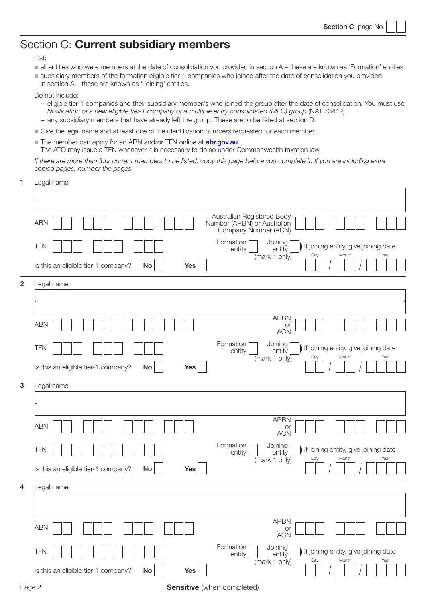# Section C: Current subsidiary members

List:

- all entities who were members at the date of consolidation you provided in section A these are known as 'Formation' entities
- $\blacksquare$  subsidiary members of the formation eligible tier-1 companies who joined after the date of consolidation you provided in section A – these are known as 'Joining' entities.

#### Do not include:

- eligible tier-1 companies and their subsidiary member/s who joined the group after the date of consolidation. You must use Notification of a new eligible tier-1 company of a multiple entry consolidated (MEC) group (NAT 73442)
- any subsidiary members that have already left the group. These are to be listed at section D.
- $\blacksquare$  Give the legal name and at least one of the identification numbers requested for each member.
- The member can apply for an ABN and/or TFN online at **[abr.gov.au](http://www.abr.gov.au)**
- The ATO may issue a TFN whenever it is necessary to do so under Commonwealth taxation law.

If there are more than four current members to be listed, copy this page before you complete it. If you are including extra copied pages, number the pages.

| 1                       | Legal name                                       |                                                                                   |                                                       |
|-------------------------|--------------------------------------------------|-----------------------------------------------------------------------------------|-------------------------------------------------------|
|                         |                                                  |                                                                                   |                                                       |
|                         |                                                  |                                                                                   |                                                       |
|                         | <b>ABN</b>                                       | Australian Registered Body<br>Number (ARBN) or Australian<br>Company Number (ACN) |                                                       |
|                         | <b>TFN</b>                                       | Formation  <br>Joining<br>entity<br>entity<br>Day<br>(mark 1 only)                | If joining entity, give joining date<br>Month<br>Year |
|                         | Is this an eligible tier-1 company?<br>Yes<br>No |                                                                                   |                                                       |
| $\overline{\mathbf{2}}$ | Legal name                                       |                                                                                   |                                                       |
|                         |                                                  |                                                                                   |                                                       |
|                         |                                                  |                                                                                   |                                                       |
|                         | <b>ABN</b>                                       | <b>ARBN</b><br>or<br><b>ACN</b>                                                   |                                                       |
|                         | <b>TFN</b>                                       | Formation<br>Joining<br>entity<br>entity<br>Day                                   | If joining entity, give joining date<br>Month<br>Year |
|                         | Is this an eligible tier-1 company?<br>Yes<br>No | (mark 1 only)                                                                     |                                                       |
| 3                       | Legal name                                       |                                                                                   |                                                       |
|                         |                                                  |                                                                                   |                                                       |
|                         |                                                  |                                                                                   |                                                       |
|                         | <b>ABN</b>                                       | <b>ARBN</b><br>or<br><b>ACN</b>                                                   |                                                       |
|                         | <b>TFN</b>                                       | Formation<br>Joining<br>entity<br>entity                                          | If joining entity, give joining date                  |
|                         | Is this an eligible tier-1 company?<br>Yes<br>No | Day<br>(mark 1 only)                                                              | Month<br>Year                                         |
| 4                       | Legal name                                       |                                                                                   |                                                       |
|                         |                                                  |                                                                                   |                                                       |
|                         |                                                  |                                                                                   |                                                       |
|                         | <b>ABN</b>                                       | <b>ARBN</b><br>or<br><b>ACN</b>                                                   |                                                       |
|                         | <b>TFN</b>                                       | Formation  <br>Joining<br>entity<br>entity                                        | If joining entity, give joining date                  |
|                         | Is this an eligible tier-1 company?<br>No<br>Yes | Day<br>(mark 1 only)                                                              | Month<br>Year                                         |
|                         |                                                  |                                                                                   |                                                       |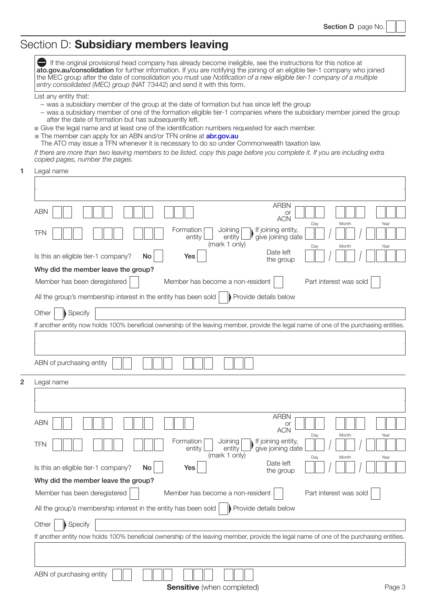# Section D: Subsidiary members leaving

If the original provisional head company has already become ineligible, see the instructions for this notice at ato.gov.au/consolidation for further information. If you are notifying the joining of an eligible tier-1 company who joined the MEC group after the date of consolidation you must use Notification of a new eligible tier-1 company of a multiple entry consolidated (MEC) group (NAT 73442) and send it with this form.

#### List any entity that:

- was a subsidiary member of the group at the date of formation but has since left the group
- was a subsidiary member of one of the formation eligible tier‑1 companies where the subsidiary member joined the group after the date of formation but has subsequently left.
- $\blacksquare$  Give the legal name and at least one of the identification numbers requested for each member.
- The member can apply for an ABN and/or TFN online at **[abr.gov.au](http://www.abr.gov.au)**
- The ATO may issue a TFN whenever it is necessary to do so under Commonwealth taxation law.

If there are more than two leaving members to be listed, copy this page before you complete it. If you are including extra copied pages, number the pages.

1 Legal name

| <b>ARBN</b><br><b>ABN</b><br>or<br><b>ACN</b>                                                                                                                      |  |  |  |  |
|--------------------------------------------------------------------------------------------------------------------------------------------------------------------|--|--|--|--|
| Day<br>Month<br>Year<br>Formation<br>If joining entity,<br>Joining<br><b>TFN</b><br>give joining date<br>entity<br>entity<br>(mark 1 only)<br>Day<br>Month<br>Year |  |  |  |  |
| Date left<br>Is this an eligible tier-1 company?<br>Yes<br>No<br>the group                                                                                         |  |  |  |  |
| Why did the member leave the group?                                                                                                                                |  |  |  |  |
| Member has been deregistered<br>Part interest was sold<br>Member has become a non-resident                                                                         |  |  |  |  |
| All the group's membership interest in the entity has been sold<br>Provide details below                                                                           |  |  |  |  |
| Specify<br>Other                                                                                                                                                   |  |  |  |  |
| If another entity now holds 100% beneficial ownership of the leaving member, provide the legal name of one of the purchasing entities.                             |  |  |  |  |
|                                                                                                                                                                    |  |  |  |  |
|                                                                                                                                                                    |  |  |  |  |
| ABN of purchasing entity                                                                                                                                           |  |  |  |  |
| Legal name                                                                                                                                                         |  |  |  |  |
|                                                                                                                                                                    |  |  |  |  |
|                                                                                                                                                                    |  |  |  |  |
| <b>ARBN</b><br><b>ABN</b><br>or<br><b>ACN</b>                                                                                                                      |  |  |  |  |
| Day<br>Month<br>Year<br>Formation<br>If joining entity,<br>Joining<br><b>TFN</b><br>give joining date<br>entity<br>entity<br>(mark 1 only)                         |  |  |  |  |
| Day<br>Month<br>Year<br>Date left<br>Is this an eligible tier-1 company?<br>No<br>Yes<br>the group                                                                 |  |  |  |  |
| Why did the member leave the group?                                                                                                                                |  |  |  |  |
| Member has been deregistered<br>Member has become a non-resident<br>Part interest was sold                                                                         |  |  |  |  |
| All the group's membership interest in the entity has been sold<br>Provide details below                                                                           |  |  |  |  |
| Specify<br>Other                                                                                                                                                   |  |  |  |  |
| If another entity now holds 100% beneficial ownership of the leaving member, provide the legal name of one of the purchasing entities.                             |  |  |  |  |
|                                                                                                                                                                    |  |  |  |  |
| ABN of purchasing entity                                                                                                                                           |  |  |  |  |
|                                                                                                                                                                    |  |  |  |  |